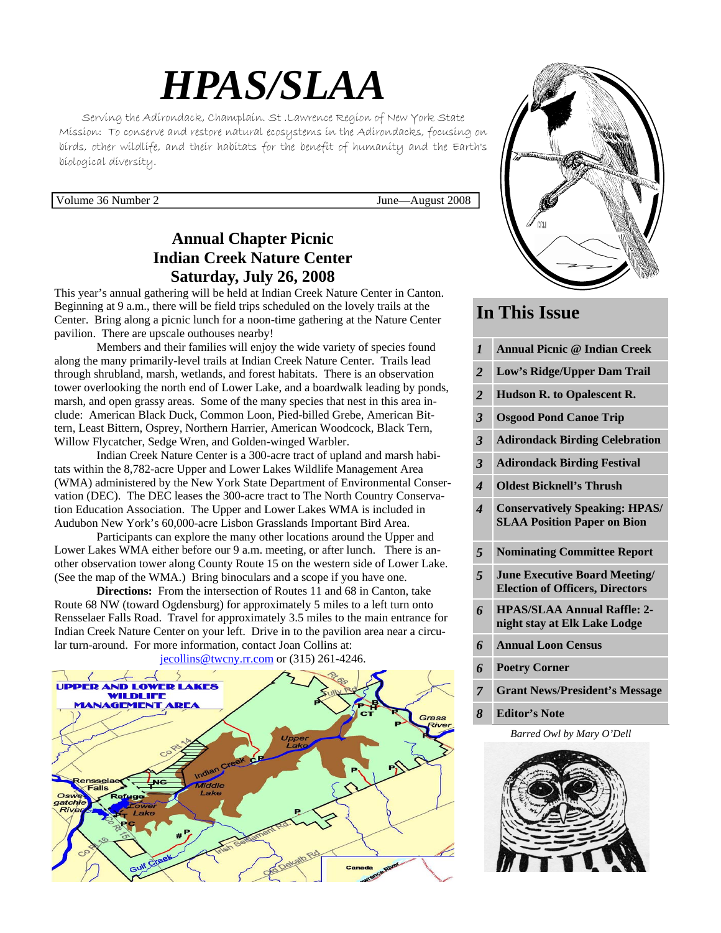# *HPAS/SLAA*

Serving the Adirondack, Champlain. St .Lawrence Region of New York State Mission: To conserve and restore natural ecosystems in the Adirondacks, focusing on birds, other wildlife, and their habitats for the benefit of humanity and the Earth's biological diversity.

Volume 36 Number 2 June—August 2008

#### **Annual Chapter Picnic Indian Creek Nature Center Saturday, July 26, 2008**

This year's annual gathering will be held at Indian Creek Nature Center in Canton. Beginning at 9 a.m., there will be field trips scheduled on the lovely trails at the Center. Bring along a picnic lunch for a noon-time gathering at the Nature Center pavilion. There are upscale outhouses nearby!

 Members and their families will enjoy the wide variety of species found along the many primarily-level trails at Indian Creek Nature Center. Trails lead through shrubland, marsh, wetlands, and forest habitats. There is an observation tower overlooking the north end of Lower Lake, and a boardwalk leading by ponds, marsh, and open grassy areas. Some of the many species that nest in this area include: American Black Duck, Common Loon, Pied-billed Grebe, American Bittern, Least Bittern, Osprey, Northern Harrier, American Woodcock, Black Tern, Willow Flycatcher, Sedge Wren, and Golden-winged Warbler.

 Indian Creek Nature Center is a 300-acre tract of upland and marsh habitats within the 8,782-acre Upper and Lower Lakes Wildlife Management Area (WMA) administered by the New York State Department of Environmental Conservation (DEC). The DEC leases the 300-acre tract to The North Country Conservation Education Association. The Upper and Lower Lakes WMA is included in Audubon New York's 60,000-acre Lisbon Grasslands Important Bird Area.

 Participants can explore the many other locations around the Upper and Lower Lakes WMA either before our 9 a.m. meeting, or after lunch. There is another observation tower along County Route 15 on the western side of Lower Lake. (See the map of the WMA.) Bring binoculars and a scope if you have one.

**Directions:** From the intersection of Routes 11 and 68 in Canton, take Route 68 NW (toward Ogdensburg) for approximately 5 miles to a left turn onto Rensselaer Falls Road. Travel for approximately 3.5 miles to the main entrance for Indian Creek Nature Center on your left. Drive in to the pavilion area near a circular turn-around. For more information, contact Joan Collins at:







#### **In This Issue**

| $\boldsymbol{l}$           | <b>Annual Picnic @ Indian Creek</b>                                            |
|----------------------------|--------------------------------------------------------------------------------|
| $\overline{2}$             | Low's Ridge/Upper Dam Trail                                                    |
| $\overline{2}$             | <b>Hudson R. to Opalescent R.</b>                                              |
| 3                          | <b>Osgood Pond Canoe Trip</b>                                                  |
| 3                          | <b>Adirondack Birding Celebration</b>                                          |
| $\overline{\mathbf{3}}$    | <b>Adirondack Birding Festival</b>                                             |
| $\boldsymbol{\mathcal{A}}$ | <b>Oldest Bicknell's Thrush</b>                                                |
| 4                          | <b>Conservatively Speaking: HPAS/</b><br><b>SLAA Position Paper on Bion</b>    |
|                            |                                                                                |
| 5                          | <b>Nominating Committee Report</b>                                             |
| 5                          | <b>June Executive Board Meeting/</b><br><b>Election of Officers, Directors</b> |
| 6                          | <b>HPAS/SLAA Annual Raffle: 2-</b><br>night stay at Elk Lake Lodge             |
| 6                          | <b>Annual Loon Census</b>                                                      |
| 6                          | <b>Poetry Corner</b>                                                           |
| $\overline{7}$             | <b>Grant News/President's Message</b>                                          |

*8* **Editor's Note** 

*Barred Owl by Mary O'Dell* 

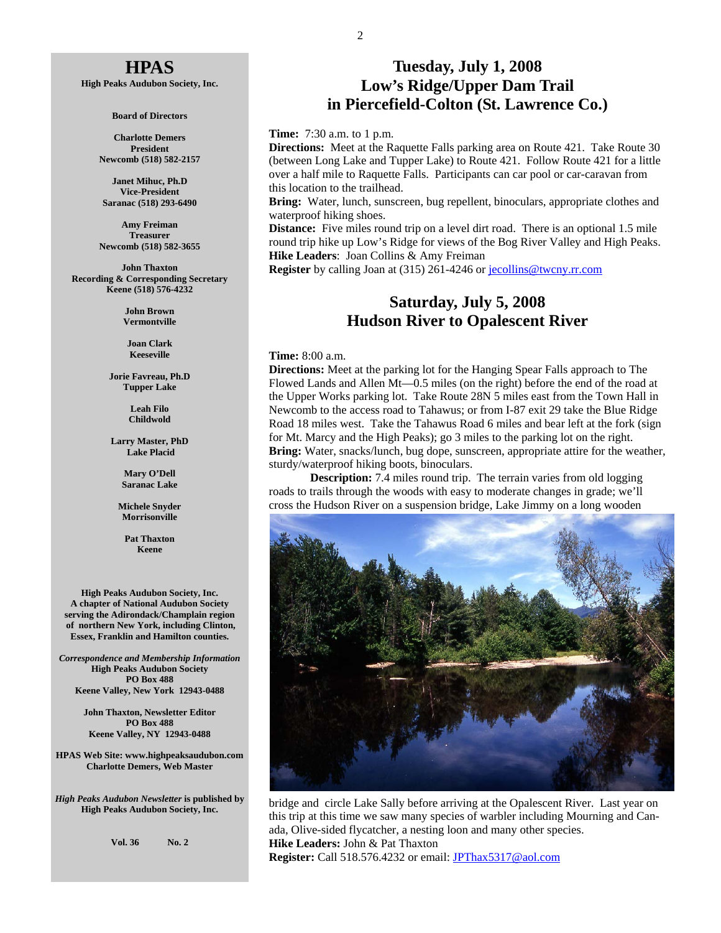#### **HPAS**

**High Peaks Audubon Society, Inc.** 

**Board of Directors** 

**Charlotte Demers President Newcomb (518) 582-2157** 

**Janet Mihuc, Ph.D Vice-President Saranac (518) 293-6490** 

**Amy Freiman Treasurer Newcomb (518) 582-3655** 

**John Thaxton Recording & Corresponding Secretary Keene (518) 576-4232** 

> **John Brown Vermontville**

**Joan Clark Keeseville** 

**Jorie Favreau, Ph.D Tupper Lake** 

> **Leah Filo Childwold**

**Larry Master, PhD Lake Placid** 

> **Mary O'Dell Saranac Lake**

**Michele Snyder Morrisonville** 

> **Pat Thaxton Keene**

**High Peaks Audubon Society, Inc. A chapter of National Audubon Society serving the Adirondack/Champlain region of northern New York, including Clinton, Essex, Franklin and Hamilton counties.** 

*Correspondence and Membership Information* **High Peaks Audubon Society PO Box 488 Keene Valley, New York 12943-0488** 

> **John Thaxton, Newsletter Editor PO Box 488 Keene Valley, NY 12943-0488**

**HPAS Web Site: www.highpeaksaudubon.com Charlotte Demers, Web Master** 

*High Peaks Audubon Newsletter* **is published by High Peaks Audubon Society, Inc.** 

**Vol. 36 No. 2** 

#### **Tuesday, July 1, 2008 Low's Ridge/Upper Dam Trail in Piercefield-Colton (St. Lawrence Co.)**

**Time:** 7:30 a.m. to 1 p.m.

**Directions:** Meet at the Raquette Falls parking area on Route 421. Take Route 30 (between Long Lake and Tupper Lake) to Route 421. Follow Route 421 for a little over a half mile to Raquette Falls. Participants can car pool or car-caravan from this location to the trailhead.

**Bring:** Water, lunch, sunscreen, bug repellent, binoculars, appropriate clothes and waterproof hiking shoes.

**Distance:** Five miles round trip on a level dirt road. There is an optional 1.5 mile round trip hike up Low's Ridge for views of the Bog River Valley and High Peaks. **Hike Leaders**: Joan Collins & Amy Freiman

**Register** by calling Joan at (315) 261-4246 or jecollins@twcny.rr.com

#### **Saturday, July 5, 2008 Hudson River to Opalescent River**

#### **Time:** 8:00 a.m.

**Directions:** Meet at the parking lot for the Hanging Spear Falls approach to The Flowed Lands and Allen Mt—0.5 miles (on the right) before the end of the road at the Upper Works parking lot. Take Route 28N 5 miles east from the Town Hall in Newcomb to the access road to Tahawus; or from I-87 exit 29 take the Blue Ridge Road 18 miles west. Take the Tahawus Road 6 miles and bear left at the fork (sign for Mt. Marcy and the High Peaks); go 3 miles to the parking lot on the right. **Bring:** Water, snacks/lunch, bug dope, sunscreen, appropriate attire for the weather, sturdy/waterproof hiking boots, binoculars.

**Description:** 7.4 miles round trip. The terrain varies from old logging roads to trails through the woods with easy to moderate changes in grade; we'll cross the Hudson River on a suspension bridge, Lake Jimmy on a long wooden



bridge and circle Lake Sally before arriving at the Opalescent River. Last year on this trip at this time we saw many species of warbler including Mourning and Canada, Olive-sided flycatcher, a nesting loon and many other species. **Hike Leaders:** John & Pat Thaxton **Register:** Call 518.576.4232 or email: JPThax5317@aol.com

2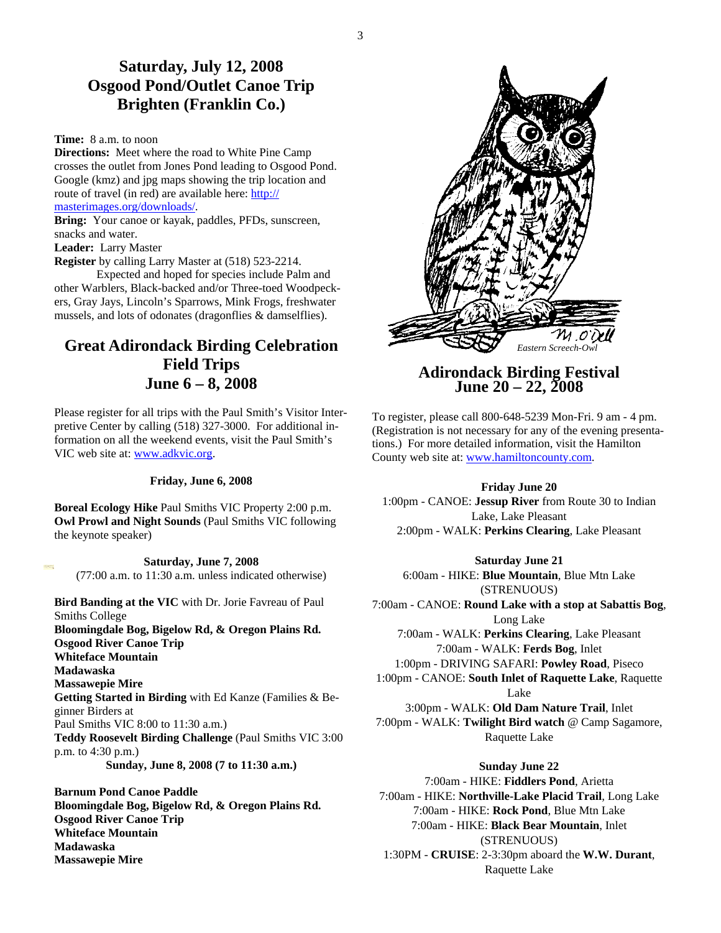#### **Saturday, July 12, 2008 Osgood Pond/Outlet Canoe Trip Brighten (Franklin Co.)**

#### **Time:** 8 a.m. to noon

**Directions:** Meet where the road to White Pine Camp crosses the outlet from Jones Pond leading to Osgood Pond. Google (kmz) and jpg maps showing the trip location and route of travel (in red) are available here: http:// masterimages.org/downloads/.

**Bring:** Your canoe or kayak, paddles, PFDs, sunscreen, snacks and water.

#### **Leader:** Larry Master

**Register** by calling Larry Master at (518) 523-2214.

 Expected and hoped for species include Palm and other Warblers, Black-backed and/or Three-toed Woodpeckers, Gray Jays, Lincoln's Sparrows, Mink Frogs, freshwater mussels, and lots of odonates (dragonflies & damselflies).

#### **Great Adirondack Birding Celebration Field Trips June 6 – 8, 2008**

Please register for all trips with the Paul Smith's Visitor Interpretive Center by calling (518) 327-3000. For additional information on all the weekend events, visit the Paul Smith's VIC web site at: www.adkvic.org.

#### **Friday, June 6, 2008**

**Boreal Ecology Hike** Paul Smiths VIC Property 2:00 p.m. **Owl Prowl and Night Sounds** (Paul Smiths VIC following the keynote speaker)

**Saturday, June 7, 2008**  (77:00 a.m. to 11:30 a.m. unless indicated otherwise)

**Bird Banding at the VIC** with Dr. Jorie Favreau of Paul Smiths College **Bloomingdale Bog, Bigelow Rd, & Oregon Plains Rd. Osgood River Canoe Trip Whiteface Mountain Madawaska Massawepie Mire Getting Started in Birding** with Ed Kanze (Families & Beginner Birders at Paul Smiths VIC 8:00 to 11:30 a.m.) **Teddy Roosevelt Birding Challenge** (Paul Smiths VIC 3:00 p.m. to 4:30 p.m.) **Sunday, June 8, 2008 (7 to 11:30 a.m.)** 

**Barnum Pond Canoe Paddle Bloomingdale Bog, Bigelow Rd, & Oregon Plains Rd. Osgood River Canoe Trip Whiteface Mountain Madawaska Massawepie Mire** 



## **Adirondack Birding Festival June 20 – 22, 2008**

To register, please call 800-648-5239 Mon-Fri. 9 am - 4 pm. (Registration is not necessary for any of the evening presentations.) For more detailed information, visit the Hamilton County web site at: www.hamiltoncounty.com.

#### **Friday June 20**

1:00pm - CANOE: **Jessup River** from Route 30 to Indian Lake, Lake Pleasant 2:00pm - WALK: **Perkins Clearing**, Lake Pleasant

#### **Saturday June 21**

6:00am - HIKE: **Blue Mountain**, Blue Mtn Lake (STRENUOUS) 7:00am - CANOE: **Round Lake with a stop at Sabattis Bog**, Long Lake 7:00am - WALK: **Perkins Clearing**, Lake Pleasant 7:00am - WALK: **Ferds Bog**, Inlet 1:00pm - DRIVING SAFARI: **Powley Road**, Piseco 1:00pm - CANOE: **South Inlet of Raquette Lake**, Raquette Lake 3:00pm - WALK: **Old Dam Nature Trail**, Inlet 7:00pm - WALK: **Twilight Bird watch** @ Camp Sagamore, Raquette Lake

#### **Sunday June 22**

7:00am - HIKE: **Fiddlers Pond**, Arietta 7:00am - HIKE: **Northville-Lake Placid Trail**, Long Lake 7:00am - HIKE: **Rock Pond**, Blue Mtn Lake 7:00am - HIKE: **Black Bear Mountain**, Inlet (STRENUOUS) 1:30PM - **CRUISE**: 2-3:30pm aboard the **W.W. Durant**, Raquette Lake

3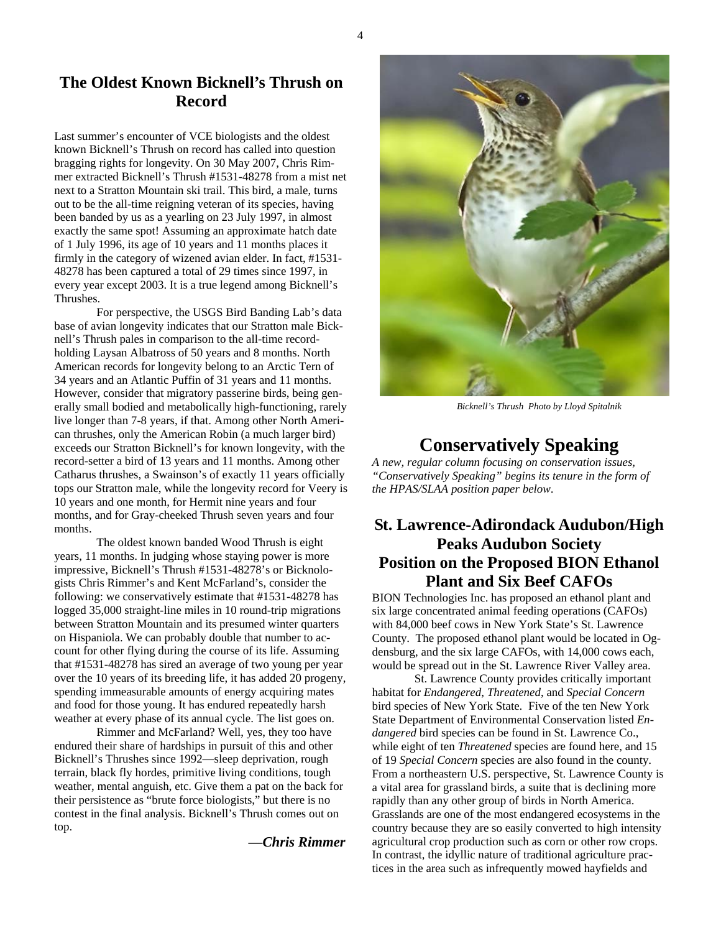#### **The Oldest Known Bicknell's Thrush on Record**

Last summer's encounter of VCE biologists and the oldest known Bicknell's Thrush on record has called into question bragging rights for longevity. On 30 May 2007, Chris Rimmer extracted Bicknell's Thrush #1531-48278 from a mist net next to a Stratton Mountain ski trail. This bird, a male, turns out to be the all-time reigning veteran of its species, having been banded by us as a yearling on 23 July 1997, in almost exactly the same spot! Assuming an approximate hatch date of 1 July 1996, its age of 10 years and 11 months places it firmly in the category of wizened avian elder. In fact, #1531- 48278 has been captured a total of 29 times since 1997, in every year except 2003. It is a true legend among Bicknell's Thrushes.

 For perspective, the USGS Bird Banding Lab's data base of avian longevity indicates that our Stratton male Bicknell's Thrush pales in comparison to the all-time recordholding Laysan Albatross of 50 years and 8 months. North American records for longevity belong to an Arctic Tern of 34 years and an Atlantic Puffin of 31 years and 11 months. However, consider that migratory passerine birds, being generally small bodied and metabolically high-functioning, rarely live longer than 7-8 years, if that. Among other North American thrushes, only the American Robin (a much larger bird) exceeds our Stratton Bicknell's for known longevity, with the record-setter a bird of 13 years and 11 months. Among other Catharus thrushes, a Swainson's of exactly 11 years officially tops our Stratton male, while the longevity record for Veery is 10 years and one month, for Hermit nine years and four months, and for Gray-cheeked Thrush seven years and four months.

 The oldest known banded Wood Thrush is eight years, 11 months. In judging whose staying power is more impressive, Bicknell's Thrush #1531-48278's or Bicknologists Chris Rimmer's and Kent McFarland's, consider the following: we conservatively estimate that #1531-48278 has logged 35,000 straight-line miles in 10 round-trip migrations between Stratton Mountain and its presumed winter quarters on Hispaniola. We can probably double that number to account for other flying during the course of its life. Assuming that #1531-48278 has sired an average of two young per year over the 10 years of its breeding life, it has added 20 progeny, spending immeasurable amounts of energy acquiring mates and food for those young. It has endured repeatedly harsh weather at every phase of its annual cycle. The list goes on.

 Rimmer and McFarland? Well, yes, they too have endured their share of hardships in pursuit of this and other Bicknell's Thrushes since 1992—sleep deprivation, rough terrain, black fly hordes, primitive living conditions, tough weather, mental anguish, etc. Give them a pat on the back for their persistence as "brute force biologists," but there is no contest in the final analysis. Bicknell's Thrush comes out on top.

 *—Chris Rimmer*



 *Bicknell's Thrush Photo by Lloyd Spitalnik* 

#### **Conservatively Speaking**

*A new, regular column focusing on conservation issues, "Conservatively Speaking" begins its tenure in the form of the HPAS/SLAA position paper below*.

#### **St. Lawrence-Adirondack Audubon/High Peaks Audubon Society Position on the Proposed BION Ethanol Plant and Six Beef CAFOs**

BION Technologies Inc. has proposed an ethanol plant and six large concentrated animal feeding operations (CAFOs) with 84,000 beef cows in New York State's St. Lawrence County. The proposed ethanol plant would be located in Ogdensburg, and the six large CAFOs, with 14,000 cows each, would be spread out in the St. Lawrence River Valley area.

 St. Lawrence County provides critically important habitat for *Endangered*, *Threatened*, and *Special Concern* bird species of New York State. Five of the ten New York State Department of Environmental Conservation listed *Endangered* bird species can be found in St. Lawrence Co., while eight of ten *Threatened* species are found here, and 15 of 19 *Special Concern* species are also found in the county. From a northeastern U.S. perspective, St. Lawrence County is a vital area for grassland birds, a suite that is declining more rapidly than any other group of birds in North America. Grasslands are one of the most endangered ecosystems in the country because they are so easily converted to high intensity agricultural crop production such as corn or other row crops. In contrast, the idyllic nature of traditional agriculture practices in the area such as infrequently mowed hayfields and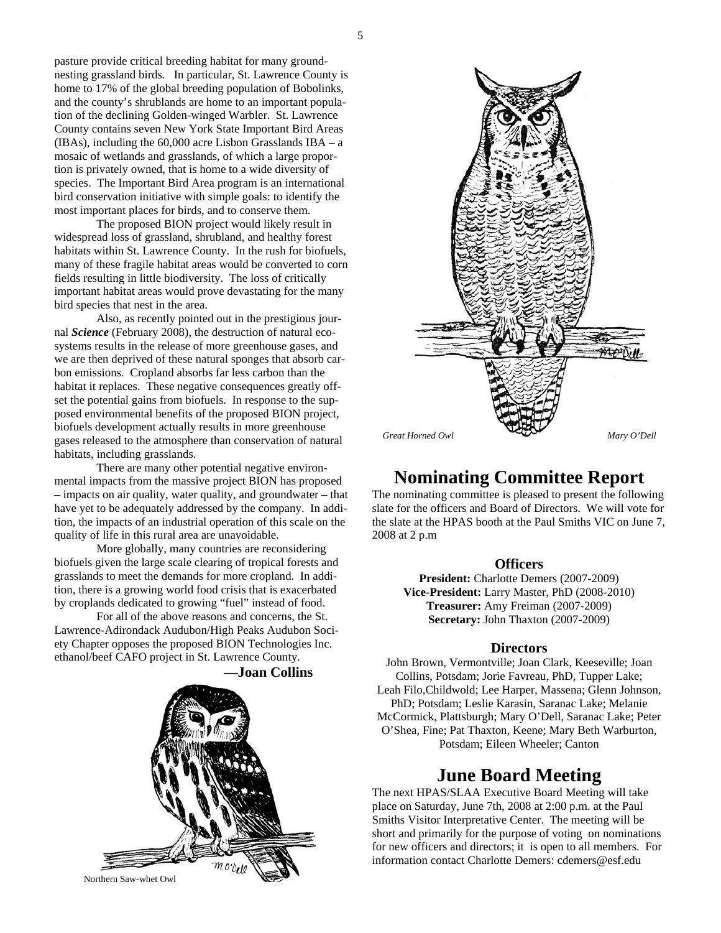nesting grassland birds. In particular, St. Lawrence County is home to 17% of the global breeding population of Bobolinks, and the county's shrublands are home to an important population of the declining Golden-winged Warbler. St. Lawrence County contains seven New York State Important Bird Areas (IBAs), including the 60,000 acre Lisbon Grasslands IBA – a mosaic of wetlands and grasslands, of which a large proportion is privately owned, that is home to a wide diversity of species. The Important Bird Area program is an international bird conservation initiative with simple goals: to identify the most important places for birds, and to conserve them.

 The proposed BION project would likely result in widespread loss of grassland, shrubland, and healthy forest habitats within St. Lawrence County. In the rush for biofuels, many of these fragile habitat areas would be converted to corn fields resulting in little biodiversity. The loss of critically important habitat areas would prove devastating for the many bird species that nest in the area.

 Also, as recently pointed out in the prestigious journal *Science* (February 2008), the destruction of natural ecosystems results in the release of more greenhouse gases, and we are then deprived of these natural sponges that absorb carbon emissions. Cropland absorbs far less carbon than the habitat it replaces. These negative consequences greatly offset the potential gains from biofuels. In response to the supposed environmental benefits of the proposed BION project, biofuels development actually results in more greenhouse gases released to the atmosphere than conservation of natural habitats, including grasslands.

 There are many other potential negative environmental impacts from the massive project BION has proposed – impacts on air quality, water quality, and groundwater – that have yet to be adequately addressed by the company. In addition, the impacts of an industrial operation of this scale on the quality of life in this rural area are unavoidable.

 More globally, many countries are reconsidering biofuels given the large scale clearing of tropical forests and grasslands to meet the demands for more cropland. In addition, there is a growing world food crisis that is exacerbated by croplands dedicated to growing "fuel" instead of food.

 For all of the above reasons and concerns, the St. Lawrence-Adirondack Audubon/High Peaks Audubon Society Chapter opposes the proposed BION Technologies Inc. ethanol/beef CAFO project in St. Lawrence County.



**—Joan Collins** 



### **Nominating Committee Report**

The nominating committee is pleased to present the following slate for the officers and Board of Directors. We will vote for the slate at the HPAS booth at the Paul Smiths VIC on June 7, 2008 at 2 p.m

#### **Officers**

**President:** Charlotte Demers (2007-2009) **Vice-President:** Larry Master, PhD (2008-2010) **Treasurer:** Amy Freiman (2007-2009) **Secretary:** John Thaxton (2007-2009)

#### **Directors**

John Brown, Vermontville; Joan Clark, Keeseville; Joan Collins, Potsdam; Jorie Favreau, PhD, Tupper Lake; Leah Filo,Childwold; Lee Harper, Massena; Glenn Johnson, PhD; Potsdam; Leslie Karasin, Saranac Lake; Melanie McCormick, Plattsburgh; Mary O'Dell, Saranac Lake; Peter O'Shea, Fine; Pat Thaxton, Keene; Mary Beth Warburton, Potsdam; Eileen Wheeler; Canton

#### **June Board Meeting**

The next HPAS/SLAA Executive Board Meeting will take place on Saturday, June 7th, 2008 at 2:00 p.m. at the Paul Smiths Visitor Interpretative Center. The meeting will be short and primarily for the purpose of voting on nominations for new officers and directors; it is open to all members. For information contact Charlotte Demers: cdemers@esf.edu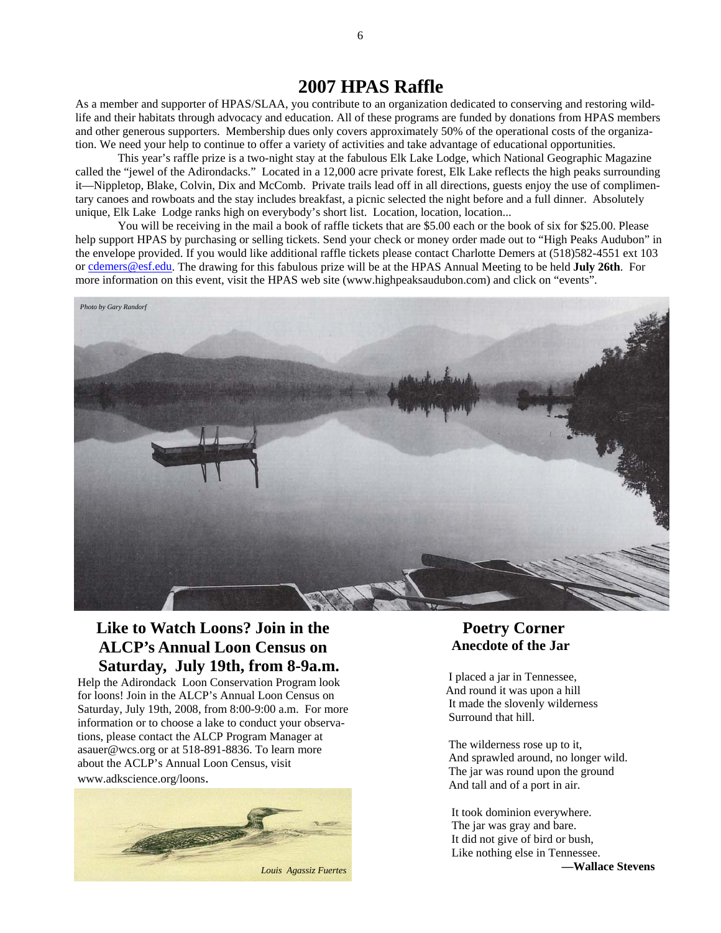#### **2007 HPAS Raffle**

As a member and supporter of HPAS/SLAA, you contribute to an organization dedicated to conserving and restoring wildlife and their habitats through advocacy and education. All of these programs are funded by donations from HPAS members and other generous supporters. Membership dues only covers approximately 50% of the operational costs of the organization. We need your help to continue to offer a variety of activities and take advantage of educational opportunities.

 This year's raffle prize is a two-night stay at the fabulous Elk Lake Lodge, which National Geographic Magazine called the "jewel of the Adirondacks." Located in a 12,000 acre private forest, Elk Lake reflects the high peaks surrounding it—Nippletop, Blake, Colvin, Dix and McComb. Private trails lead off in all directions, guests enjoy the use of complimentary canoes and rowboats and the stay includes breakfast, a picnic selected the night before and a full dinner. Absolutely unique, Elk Lake Lodge ranks high on everybody's short list. Location, location, location...

 You will be receiving in the mail a book of raffle tickets that are \$5.00 each or the book of six for \$25.00. Please help support HPAS by purchasing or selling tickets. Send your check or money order made out to "High Peaks Audubon" in the envelope provided. If you would like additional raffle tickets please contact Charlotte Demers at (518)582-4551 ext 103 or cdemers@esf.edu. The drawing for this fabulous prize will be at the HPAS Annual Meeting to be held **July 26th**. For more information on this event, visit the HPAS web site (www.highpeaksaudubon.com) and click on "events".



#### **Like to Watch Loons? Join in the ALCP's Annual Loon Census on Saturday, July 19th, from 8-9a.m.**

Help the Adirondack Loon Conservation Program look for loons! Join in the ALCP's Annual Loon Census on Saturday, July 19th, 2008, from 8:00-9:00 a.m. For more information or to choose a lake to conduct your observations, please contact the ALCP Program Manager at asauer@wcs.org or at 518-891-8836. To learn more about the ACLP's Annual Loon Census, visit

#### www.adkscience.org/loons.



#### **Poetry Corner Anecdote of the Jar**

 I placed a jar in Tennessee, And round it was upon a hill It made the slovenly wilderness Surround that hill.

 The wilderness rose up to it, And sprawled around, no longer wild. The jar was round upon the ground And tall and of a port in air.

 It took dominion everywhere. The jar was gray and bare. It did not give of bird or bush, Like nothing else in Tennessee. **—Wallace Stevens** *Louis Agassiz Fuertes*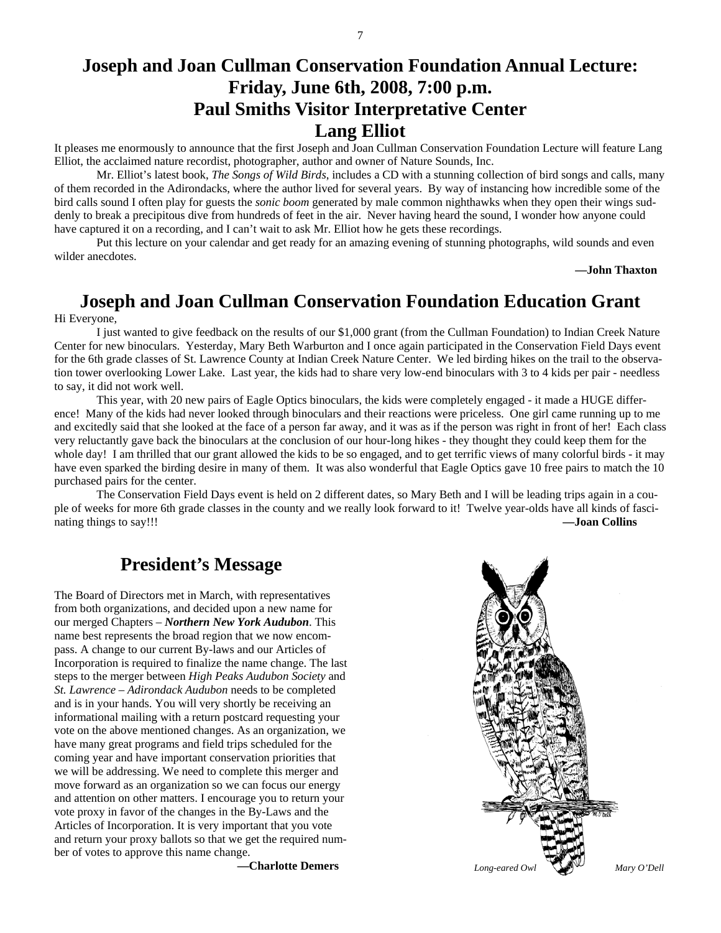#### **Joseph and Joan Cullman Conservation Foundation Annual Lecture: Friday, June 6th, 2008, 7:00 p.m. Paul Smiths Visitor Interpretative Center Lang Elliot**

It pleases me enormously to announce that the first Joseph and Joan Cullman Conservation Foundation Lecture will feature Lang Elliot, the acclaimed nature recordist, photographer, author and owner of Nature Sounds, Inc.

 Mr. Elliot's latest book, *The Songs of Wild Birds*, includes a CD with a stunning collection of bird songs and calls, many of them recorded in the Adirondacks, where the author lived for several years. By way of instancing how incredible some of the bird calls sound I often play for guests the *sonic boom* generated by male common nighthawks when they open their wings suddenly to break a precipitous dive from hundreds of feet in the air. Never having heard the sound, I wonder how anyone could have captured it on a recording, and I can't wait to ask Mr. Elliot how he gets these recordings.

 Put this lecture on your calendar and get ready for an amazing evening of stunning photographs, wild sounds and even wilder anecdotes.

**—John Thaxton** 

### **Joseph and Joan Cullman Conservation Foundation Education Grant**

Hi Everyone,

 I just wanted to give feedback on the results of our \$1,000 grant (from the Cullman Foundation) to Indian Creek Nature Center for new binoculars. Yesterday, Mary Beth Warburton and I once again participated in the Conservation Field Days event for the 6th grade classes of St. Lawrence County at Indian Creek Nature Center. We led birding hikes on the trail to the observation tower overlooking Lower Lake. Last year, the kids had to share very low-end binoculars with 3 to 4 kids per pair - needless to say, it did not work well.

 This year, with 20 new pairs of Eagle Optics binoculars, the kids were completely engaged - it made a HUGE difference! Many of the kids had never looked through binoculars and their reactions were priceless. One girl came running up to me and excitedly said that she looked at the face of a person far away, and it was as if the person was right in front of her! Each class very reluctantly gave back the binoculars at the conclusion of our hour-long hikes - they thought they could keep them for the whole day! I am thrilled that our grant allowed the kids to be so engaged, and to get terrific views of many colorful birds - it may have even sparked the birding desire in many of them. It was also wonderful that Eagle Optics gave 10 free pairs to match the 10 purchased pairs for the center.

 The Conservation Field Days event is held on 2 different dates, so Mary Beth and I will be leading trips again in a couple of weeks for more 6th grade classes in the county and we really look forward to it! Twelve year-olds have all kinds of fascinating things to say!!! **—Joan Collins** 

#### **President's Message**

The Board of Directors met in March, with representatives from both organizations, and decided upon a new name for our merged Chapters – *Northern New York Audubon*. This name best represents the broad region that we now encompass. A change to our current By-laws and our Articles of Incorporation is required to finalize the name change. The last steps to the merger between *High Peaks Audubon Society* and *St. Lawrence – Adirondack Audubon* needs to be completed and is in your hands. You will very shortly be receiving an informational mailing with a return postcard requesting your vote on the above mentioned changes. As an organization, we have many great programs and field trips scheduled for the coming year and have important conservation priorities that we will be addressing. We need to complete this merger and move forward as an organization so we can focus our energy and attention on other matters. I encourage you to return your vote proxy in favor of the changes in the By-Laws and the Articles of Incorporation. It is very important that you vote and return your proxy ballots so that we get the required number of votes to approve this name change.